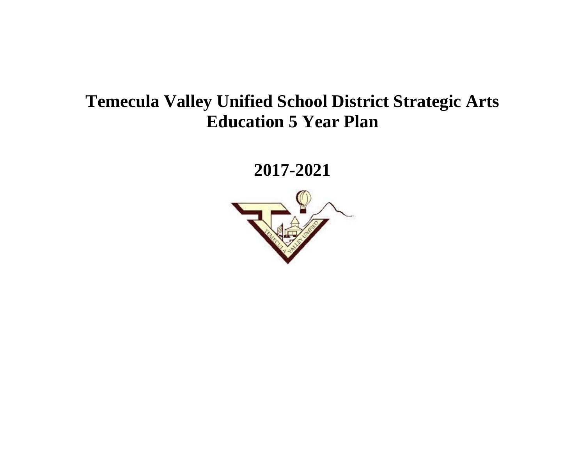# **Temecula Valley Unified School District Strategic Arts Education 5 Year Plan**

**2017-2021**

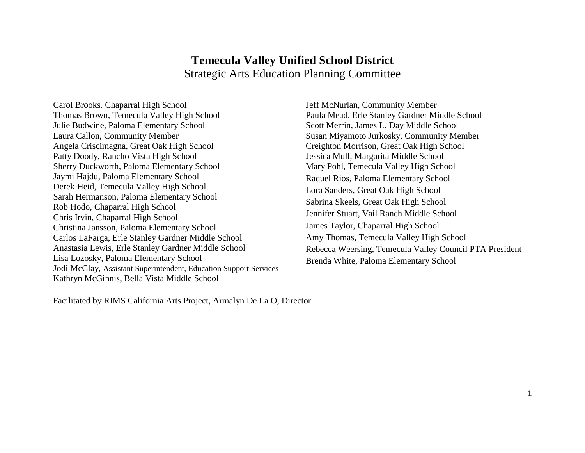### **Temecula Valley Unified School District**  Strategic Arts Education Planning Committee

Carol Brooks. Chaparral High School Thomas Brown, Temecula Valley High School Julie Budwine, Paloma Elementary School Laura Callon, Community Member Angela Criscimagna, Great Oak High School Patty Doody, Rancho Vista High School Sherry Duckworth, Paloma Elementary School Jaymi Hajdu, Paloma Elementary School Derek Heid, Temecula Valley High School Sarah Hermanson, Paloma Elementary School Rob Hodo, Chaparral High School Chris Irvin, Chaparral High School Christina Jansson, Paloma Elementary School Carlos LaFarga, Erle Stanley Gardner Middle School Anastasia Lewis, Erle Stanley Gardner Middle School Lisa Lozosky, Paloma Elementary School Jodi McClay, Assistant Superintendent, Education Support Services Kathryn McGinnis, Bella Vista Middle School

Jeff McNurlan, Community Member Paula Mead, Erle Stanley Gardner Middle School Scott Merrin, James L. Day Middle School Susan Miyamoto Jurkosky, Community Member Creighton Morrison, Great Oak High School Jessica Mull, Margarita Middle School Mary Pohl, Temecula Valley High School Raquel Rios, Paloma Elementary School Lora Sanders, Great Oak High School Sabrina Skeels, Great Oak High School Jennifer Stuart, Vail Ranch Middle School James Taylor, Chaparral High School Amy Thomas, Temecula Valley High School Rebecca Weersing, Temecula Valley Council PTA President Brenda White, Paloma Elementary School

Facilitated by RIMS California Arts Project, Armalyn De La O, Director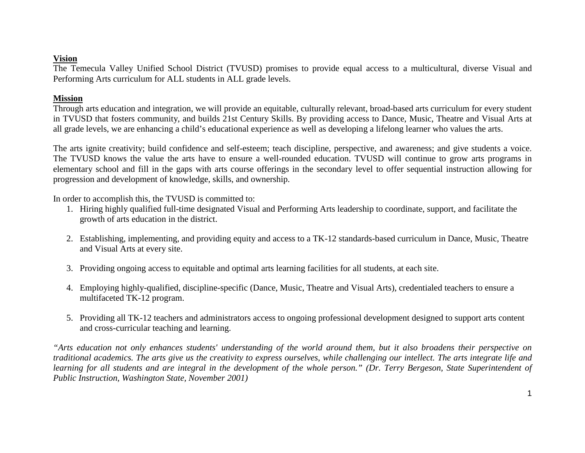#### **Vision**

The Temecula Valley Unified School District (TVUSD) promises to provide equal access to a multicultural, diverse Visual and Performing Arts curriculum for ALL students in ALL grade levels.

#### **Mission**

Through arts education and integration, we will provide an equitable, culturally relevant, broad-based arts curriculum for every student in TVUSD that fosters community, and builds 21st Century Skills. By providing access to Dance, Music, Theatre and Visual Arts at all grade levels, we are enhancing a child's educational experience as well as developing a lifelong learner who values the arts.

The arts ignite creativity; build confidence and self-esteem; teach discipline, perspective, and awareness; and give students a voice. The TVUSD knows the value the arts have to ensure a well-rounded education. TVUSD will continue to grow arts programs in elementary school and fill in the gaps with arts course offerings in the secondary level to offer sequential instruction allowing for progression and development of knowledge, skills, and ownership.

In order to accomplish this, the TVUSD is committed to:

- 1. Hiring highly qualified full-time designated Visual and Performing Arts leadership to coordinate, support, and facilitate the growth of arts education in the district.
- 2. Establishing, implementing, and providing equity and access to a TK-12 standards-based curriculum in Dance, Music, Theatre and Visual Arts at every site.
- 3. Providing ongoing access to equitable and optimal arts learning facilities for all students, at each site.
- 4. Employing highly-qualified, discipline-specific (Dance, Music, Theatre and Visual Arts), credentialed teachers to ensure a multifaceted TK-12 program.
- 5. Providing all TK-12 teachers and administrators access to ongoing professional development designed to support arts content and cross-curricular teaching and learning.

*"Arts education not only enhances students' understanding of the world around them, but it also broadens their perspective on traditional academics. The arts give us the creativity to express ourselves, while challenging our intellect. The arts integrate life and learning for all students and are integral in the development of the whole person." (Dr. Terry Bergeson, State Superintendent of Public Instruction, Washington State, November 2001)*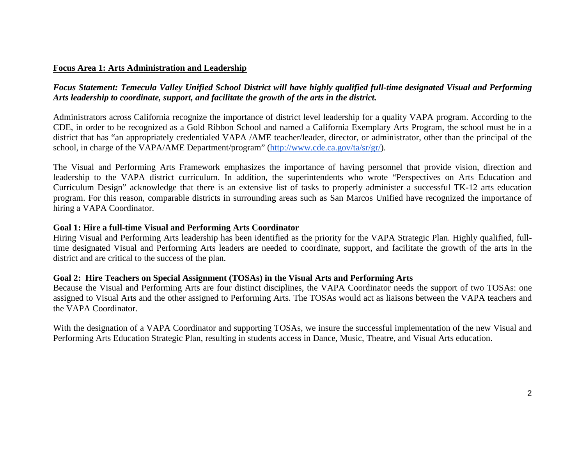#### **Focus Area 1: Arts Administration and Leadership**

#### *Focus Statement: Temecula Valley Unified School District will have highly qualified full-time designated Visual and Performing Arts leadership to coordinate, support, and facilitate the growth of the arts in the district.*

Administrators across California recognize the importance of district level leadership for a quality VAPA program. According to the CDE, in order to be recognized as a Gold Ribbon School and named a California Exemplary Arts Program, the school must be in a district that has "an appropriately credentialed VAPA /AME teacher/leader, director, or administrator, other than the principal of the school, in charge of the VAPA/AME Department/program" [\(http://www.cde.ca.gov/ta/sr/gr/\)](http://www.cde.ca.gov/ta/sr/gr/).

The Visual and Performing Arts Framework emphasizes the importance of having personnel that provide vision, direction and leadership to the VAPA district curriculum. In addition, the superintendents who wrote "Perspectives on Arts Education and Curriculum Design" acknowledge that there is an extensive list of tasks to properly administer a successful TK-12 arts education program. For this reason, comparable districts in surrounding areas such as San Marcos Unified have recognized the importance of hiring a VAPA Coordinator.

#### **Goal 1: Hire a full-time Visual and Performing Arts Coordinator**

Hiring Visual and Performing Arts leadership has been identified as the priority for the VAPA Strategic Plan. Highly qualified, fulltime designated Visual and Performing Arts leaders are needed to coordinate, support, and facilitate the growth of the arts in the district and are critical to the success of the plan.

#### **Goal 2: Hire Teachers on Special Assignment (TOSAs) in the Visual Arts and Performing Arts**

Because the Visual and Performing Arts are four distinct disciplines, the VAPA Coordinator needs the support of two TOSAs: one assigned to Visual Arts and the other assigned to Performing Arts. The TOSAs would act as liaisons between the VAPA teachers and the VAPA Coordinator.

With the designation of a VAPA Coordinator and supporting TOSAs, we insure the successful implementation of the new Visual and Performing Arts Education Strategic Plan, resulting in students access in Dance, Music, Theatre, and Visual Arts education.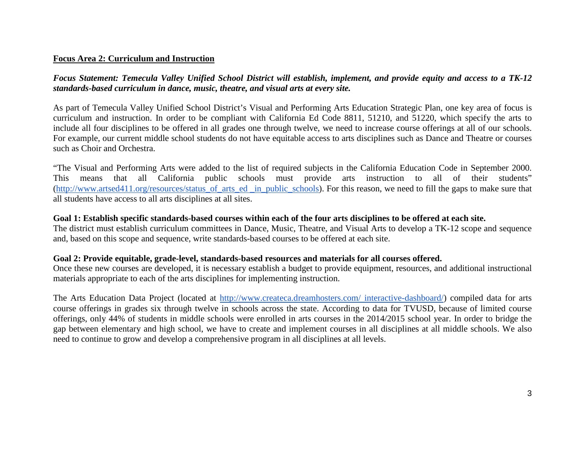#### **Focus Area 2: Curriculum and Instruction**

*Focus Statement: Temecula Valley Unified School District will establish, implement, and provide equity and access to a TK-12 standards-based curriculum in dance, music, theatre, and visual arts at every site.*

As part of Temecula Valley Unified School District's Visual and Performing Arts Education Strategic Plan, one key area of focus is curriculum and instruction. In order to be compliant with California Ed Code 8811, 51210, and 51220, which specify the arts to include all four disciplines to be offered in all grades one through twelve, we need to increase course offerings at all of our schools. For example, our current middle school students do not have equitable access to arts disciplines such as Dance and Theatre or courses such as Choir and Orchestra.

"The Visual and Performing Arts were added to the list of required subjects in the California Education Code in September 2000. This means that all California public schools must provide arts instruction to all of their students" [\(http://www.artsed411.org/resources/status\\_of\\_arts\\_ed \\_in\\_public\\_schools\)](http://www.artsed411.org/resources/status_of_arts_ed_in_public_schools). For this reason, we need to fill the gaps to make sure that all students have access to all arts disciplines at all sites.

#### **Goal 1: Establish specific standards-based courses within each of the four arts disciplines to be offered at each site.**

The district must establish curriculum committees in Dance, Music, Theatre, and Visual Arts to develop a TK-12 scope and sequence and, based on this scope and sequence, write standards-based courses to be offered at each site.

#### **Goal 2: Provide equitable, grade-level, standards-based resources and materials for all courses offered.**

Once these new courses are developed, it is necessary establish a budget to provide equipment, resources, and additional instructional materials appropriate to each of the arts disciplines for implementing instruction.

The Arts Education Data Project (located at [http://www.createca.dreamhosters.com/ interactive-dashboard/\)](http://www.createca.dreamhosters.com/interactive-dashboard/) compiled data for arts course offerings in grades six through twelve in schools across the state. According to data for TVUSD, because of limited course offerings, only 44% of students in middle schools were enrolled in arts courses in the 2014/2015 school year. In order to bridge the gap between elementary and high school, we have to create and implement courses in all disciplines at all middle schools. We also need to continue to grow and develop a comprehensive program in all disciplines at all levels.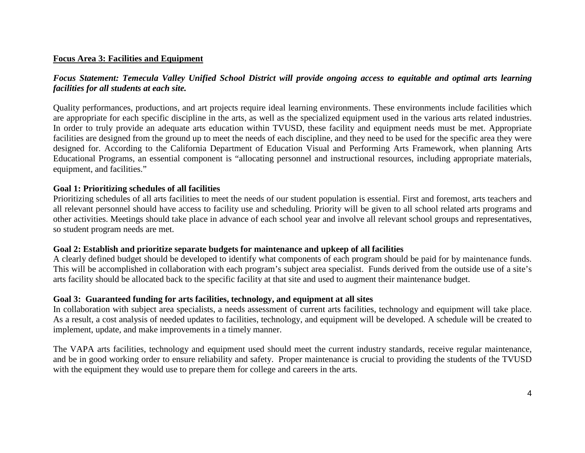#### **Focus Area 3: Facilities and Equipment**

### *Focus Statement: Temecula Valley Unified School District will provide ongoing access to equitable and optimal arts learning facilities for all students at each site.*

Quality performances, productions, and art projects require ideal learning environments. These environments include facilities which are appropriate for each specific discipline in the arts, as well as the specialized equipment used in the various arts related industries. In order to truly provide an adequate arts education within TVUSD, these facility and equipment needs must be met. Appropriate facilities are designed from the ground up to meet the needs of each discipline, and they need to be used for the specific area they were designed for. According to the California Department of Education Visual and Performing Arts Framework, when planning Arts Educational Programs, an essential component is "allocating personnel and instructional resources, including appropriate materials, equipment, and facilities."

#### **Goal 1: Prioritizing schedules of all facilities**

Prioritizing schedules of all arts facilities to meet the needs of our student population is essential. First and foremost, arts teachers and all relevant personnel should have access to facility use and scheduling. Priority will be given to all school related arts programs and other activities. Meetings should take place in advance of each school year and involve all relevant school groups and representatives, so student program needs are met.

#### **Goal 2: Establish and prioritize separate budgets for maintenance and upkeep of all facilities**

A clearly defined budget should be developed to identify what components of each program should be paid for by maintenance funds. This will be accomplished in collaboration with each program's subject area specialist. Funds derived from the outside use of a site's arts facility should be allocated back to the specific facility at that site and used to augment their maintenance budget.

#### **Goal 3: Guaranteed funding for arts facilities, technology, and equipment at all sites**

In collaboration with subject area specialists, a needs assessment of current arts facilities, technology and equipment will take place. As a result, a cost analysis of needed updates to facilities, technology, and equipment will be developed. A schedule will be created to implement, update, and make improvements in a timely manner.

The VAPA arts facilities, technology and equipment used should meet the current industry standards, receive regular maintenance, and be in good working order to ensure reliability and safety. Proper maintenance is crucial to providing the students of the TVUSD with the equipment they would use to prepare them for college and careers in the arts.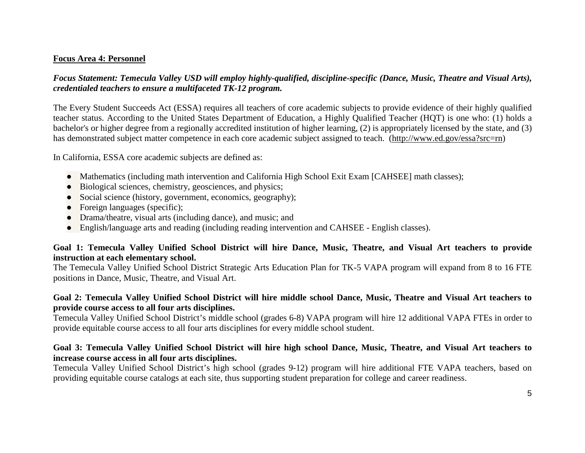#### **Focus Area 4: Personnel**

#### *Focus Statement: Temecula Valley USD will employ highly-qualified, discipline-specific (Dance, Music, Theatre and Visual Arts), credentialed teachers to ensure a multifaceted TK-12 program.*

The Every Student Succeeds Act (ESSA) requires all teachers of core academic subjects to provide evidence of their highly qualified teacher status. According to the United States Department of Education, a Highly Qualified Teacher (HQT) is one who: (1) holds a bachelor's or higher degree from a regionally accredited institution of higher learning, (2) is appropriately licensed by the state, and (3) has demonstrated subject matter competence in each core academic subject assigned to teach. [\(http://www.ed.gov/essa?src=rn\)](http://www.ed.gov/essa?src=rn)

In California, ESSA core academic subjects are defined as:

- Mathematics (including math intervention and California High School Exit Exam [CAHSEE] math classes);
- Biological sciences, chemistry, geosciences, and physics;
- Social science (history, government, economics, geography);
- $\bullet$  Foreign languages (specific);
- Drama/theatre, visual arts (including dance), and music; and
- English/language arts and reading (including reading intervention and CAHSEE English classes).

#### **Goal 1: Temecula Valley Unified School District will hire Dance, Music, Theatre, and Visual Art teachers to provide instruction at each elementary school.**

The Temecula Valley Unified School District Strategic Arts Education Plan for TK-5 VAPA program will expand from 8 to 16 FTE positions in Dance, Music, Theatre, and Visual Art.

#### **Goal 2: Temecula Valley Unified School District will hire middle school Dance, Music, Theatre and Visual Art teachers to provide course access to all four arts disciplines.**

Temecula Valley Unified School District's middle school (grades 6-8) VAPA program will hire 12 additional VAPA FTEs in order to provide equitable course access to all four arts disciplines for every middle school student.

#### **Goal 3: Temecula Valley Unified School District will hire high school Dance, Music, Theatre, and Visual Art teachers to increase course access in all four arts disciplines.**

Temecula Valley Unified School District's high school (grades 9-12) program will hire additional FTE VAPA teachers, based on providing equitable course catalogs at each site, thus supporting student preparation for college and career readiness.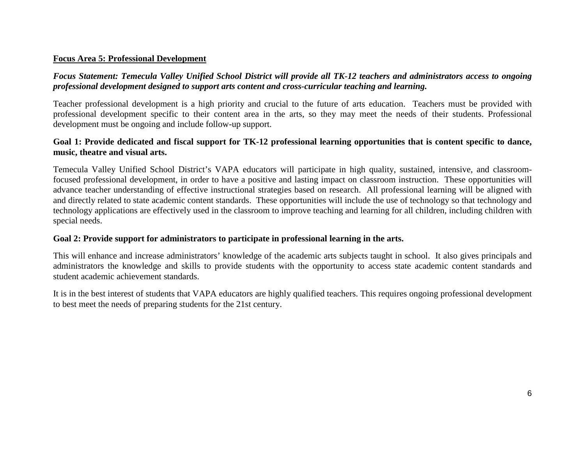#### **Focus Area 5: Professional Development**

### *Focus Statement: Temecula Valley Unified School District will provide all TK-12 teachers and administrators access to ongoing professional development designed to support arts content and cross-curricular teaching and learning.*

Teacher professional development is a high priority and crucial to the future of arts education. Teachers must be provided with professional development specific to their content area in the arts, so they may meet the needs of their students. Professional development must be ongoing and include follow-up support.

#### **Goal 1: Provide dedicated and fiscal support for TK-12 professional learning opportunities that is content specific to dance, music, theatre and visual arts.**

Temecula Valley Unified School District's VAPA educators will participate in high quality, sustained, intensive, and classroomfocused professional development, in order to have a positive and lasting impact on classroom instruction. These opportunities will advance teacher understanding of effective instructional strategies based on research. All professional learning will be aligned with and directly related to state academic content standards. These opportunities will include the use of technology so that technology and technology applications are effectively used in the classroom to improve teaching and learning for all children, including children with special needs.

#### **Goal 2: Provide support for administrators to participate in professional learning in the arts.**

This will enhance and increase administrators' knowledge of the academic arts subjects taught in school. It also gives principals and administrators the knowledge and skills to provide students with the opportunity to access state academic content standards and student academic achievement standards.

It is in the best interest of students that VAPA educators are highly qualified teachers. This requires ongoing professional development to best meet the needs of preparing students for the 21st century.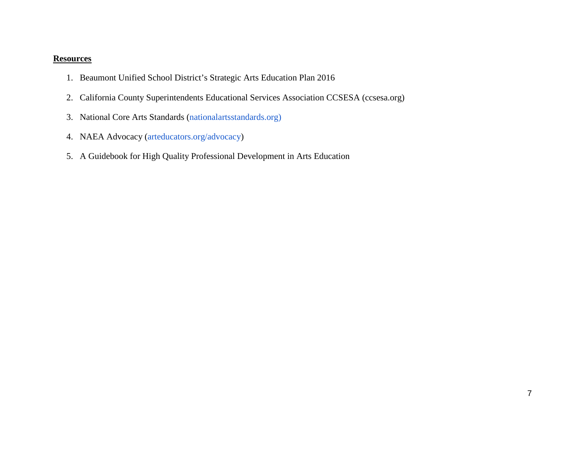#### **Resources**

- 1. Beaumont Unified School District's Strategic Arts Education Plan 2016
- 2. California County Superintendents Educational Services Association CCSESA (ccsesa.org)
- 3. National Core Arts Standards [\(nationalartsstandards.org\)](http://www.nationalartsstandards.org/content/conceptual-framework)
- 4. NAEA Advocacy [\(arteducators.org/advocacy\)](https://www.arteducators.org/advocacy)
- 5. A Guidebook for High Quality Professional Development in Arts Education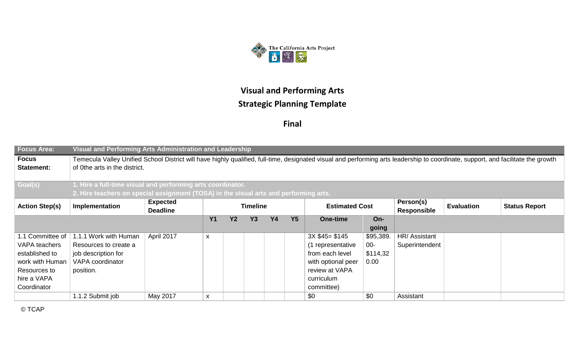

**Final**

| <b>Focus Area:</b>         | Visual and Performing Arts Administration and Leadership                                                                                                                                                           |            |   |  |  |  |  |                    |           |                |  |  |  |  |
|----------------------------|--------------------------------------------------------------------------------------------------------------------------------------------------------------------------------------------------------------------|------------|---|--|--|--|--|--------------------|-----------|----------------|--|--|--|--|
| <b>Focus</b><br>Statement: | Temecula Valley Unified School District will have highly qualified, full-time, designated visual and performing arts leadership to coordinate, support, and facilitate the growth<br>of 0the arts in the district. |            |   |  |  |  |  |                    |           |                |  |  |  |  |
| Goal(s)                    | 1. Hire a full-time visual and performing arts coordinator.                                                                                                                                                        |            |   |  |  |  |  |                    |           |                |  |  |  |  |
|                            | 2. Hire teachers on special assignment (TOSA) in the visual arts and performing arts.                                                                                                                              |            |   |  |  |  |  |                    |           |                |  |  |  |  |
| <b>Action Step(s)</b>      | <b>Expected</b><br>Person(s)<br><b>Estimated Cost</b><br>Implementation<br><b>Timeline</b><br><b>Status Report</b><br><b>Evaluation</b><br><b>Deadline</b><br><b>Responsible</b>                                   |            |   |  |  |  |  |                    |           |                |  |  |  |  |
|                            | <b>Y2</b><br><b>Y3</b><br><b>Y4</b><br><b>Y5</b><br><b>Y1</b><br>One-time<br>$On-$                                                                                                                                 |            |   |  |  |  |  |                    |           |                |  |  |  |  |
|                            | going                                                                                                                                                                                                              |            |   |  |  |  |  |                    |           |                |  |  |  |  |
| 1.1 Committee of           | 1.1.1 Work with Human                                                                                                                                                                                              | April 2017 | X |  |  |  |  | $3X $45 = $145$    | \$95,389. | HR/ Assistant  |  |  |  |  |
| VAPA teachers              | Resources to create a                                                                                                                                                                                              |            |   |  |  |  |  | (1 representative  | $00-$     | Superintendent |  |  |  |  |
| established to             | job description for                                                                                                                                                                                                |            |   |  |  |  |  | from each level    | \$114,32  |                |  |  |  |  |
| work with Human            | VAPA coordinator                                                                                                                                                                                                   |            |   |  |  |  |  | with optional peer | 0.00      |                |  |  |  |  |
| Resources to               | position.                                                                                                                                                                                                          |            |   |  |  |  |  | review at VAPA     |           |                |  |  |  |  |
| hire a VAPA                |                                                                                                                                                                                                                    |            |   |  |  |  |  | curriculum         |           |                |  |  |  |  |
| Coordinator                |                                                                                                                                                                                                                    |            |   |  |  |  |  | committee)         |           |                |  |  |  |  |
|                            | 1.1.2 Submit job                                                                                                                                                                                                   | May 2017   | X |  |  |  |  | \$0                | \$0       | Assistant      |  |  |  |  |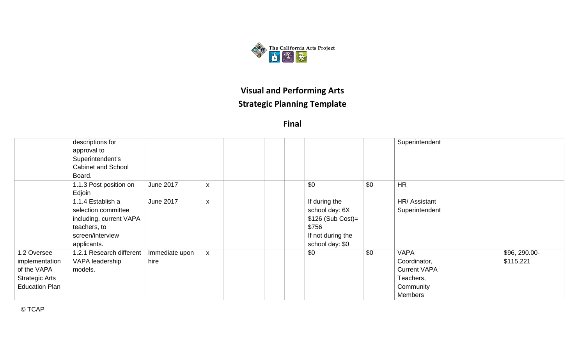

**Final**

|                                                                                                | descriptions for<br>approval to<br>Superintendent's<br><b>Cabinet and School</b><br>Board.                             |                        |                |                                                                                                        |     | Superintendent                                                                                 |                            |
|------------------------------------------------------------------------------------------------|------------------------------------------------------------------------------------------------------------------------|------------------------|----------------|--------------------------------------------------------------------------------------------------------|-----|------------------------------------------------------------------------------------------------|----------------------------|
|                                                                                                | 1.1.3 Post position on<br>Edjoin                                                                                       | June 2017              | X              | \$0                                                                                                    | \$0 | <b>HR</b>                                                                                      |                            |
|                                                                                                | 1.1.4 Establish a<br>selection committee<br>including, current VAPA<br>teachers, to<br>screen/interview<br>applicants. | <b>June 2017</b>       | X              | If during the<br>school day: 6X<br>$$126$ (Sub Cost)=<br>\$756<br>If not during the<br>school day: \$0 |     | HR/ Assistant<br>Superintendent                                                                |                            |
| 1.2 Oversee<br>implementation<br>of the VAPA<br><b>Strategic Arts</b><br><b>Education Plan</b> | 1.2.1 Research different<br>VAPA leadership<br>models.                                                                 | Immediate upon<br>hire | $\pmb{\times}$ | \$0                                                                                                    | \$0 | <b>VAPA</b><br>Coordinator,<br><b>Current VAPA</b><br>Teachers,<br>Community<br><b>Members</b> | \$96, 290.00-<br>\$115,221 |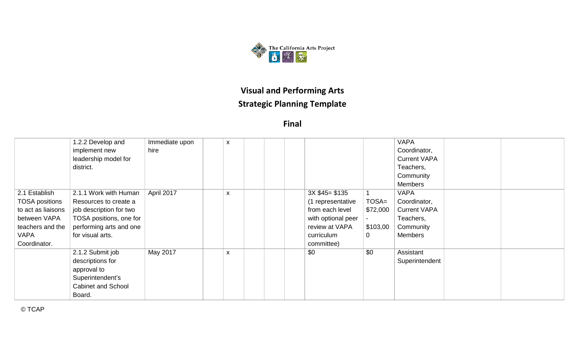

**Final**

|                       | 1.2.2 Develop and         | Immediate upon | X |  |                    |          | <b>VAPA</b>         |  |  |
|-----------------------|---------------------------|----------------|---|--|--------------------|----------|---------------------|--|--|
|                       | implement new             | hire           |   |  |                    |          | Coordinator,        |  |  |
|                       | leadership model for      |                |   |  |                    |          | <b>Current VAPA</b> |  |  |
|                       | district.                 |                |   |  |                    |          | Teachers,           |  |  |
|                       |                           |                |   |  |                    |          | Community           |  |  |
|                       |                           |                |   |  |                    |          | Members             |  |  |
| 2.1 Establish         | 2.1.1 Work with Human     | April 2017     | X |  | $3X $45 = $135$    |          | <b>VAPA</b>         |  |  |
| <b>TOSA positions</b> | Resources to create a     |                |   |  | (1 representative  | $TOSA=$  | Coordinator,        |  |  |
| to act as liaisons    | job description for two   |                |   |  | from each level    | \$72,000 | <b>Current VAPA</b> |  |  |
| between VAPA          | TOSA positions, one for   |                |   |  | with optional peer |          | Teachers,           |  |  |
| teachers and the      | performing arts and one   |                |   |  | review at VAPA     | \$103,00 | Community           |  |  |
| VAPA                  | for visual arts.          |                |   |  | curriculum         | 0        | Members             |  |  |
| Coordinator.          |                           |                |   |  | committee)         |          |                     |  |  |
|                       | 2.1.2 Submit job          | May 2017       | X |  | \$0                | \$0      | Assistant           |  |  |
|                       | descriptions for          |                |   |  |                    |          | Superintendent      |  |  |
|                       | approval to               |                |   |  |                    |          |                     |  |  |
|                       | Superintendent's          |                |   |  |                    |          |                     |  |  |
|                       | <b>Cabinet and School</b> |                |   |  |                    |          |                     |  |  |
|                       | Board.                    |                |   |  |                    |          |                     |  |  |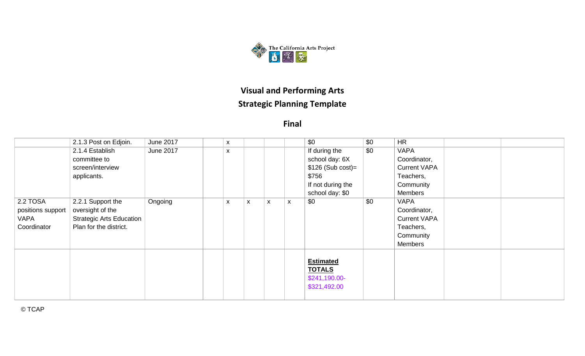

|                                                      | 2.1.3 Post on Edjoin.                                                                              | June 2017 | X |   |                           |   | \$0                                                                                                    | \$0 | <b>HR</b>                                                                               |  |
|------------------------------------------------------|----------------------------------------------------------------------------------------------------|-----------|---|---|---------------------------|---|--------------------------------------------------------------------------------------------------------|-----|-----------------------------------------------------------------------------------------|--|
|                                                      | 2.1.4 Establish<br>committee to<br>screen/interview<br>applicants.                                 | June 2017 | X |   |                           |   | If during the<br>school day: 6X<br>$$126$ (Sub cost)=<br>\$756<br>If not during the<br>school day: \$0 | \$0 | <b>VAPA</b><br>Coordinator,<br><b>Current VAPA</b><br>Teachers,<br>Community<br>Members |  |
| 2.2 TOSA<br>positions support<br>VAPA<br>Coordinator | 2.2.1 Support the<br>oversight of the<br><b>Strategic Arts Education</b><br>Plan for the district. | Ongoing   | X | X | $\boldsymbol{\mathsf{x}}$ | X | \$0                                                                                                    | \$0 | <b>VAPA</b><br>Coordinator,<br><b>Current VAPA</b><br>Teachers,<br>Community<br>Members |  |
|                                                      |                                                                                                    |           |   |   |                           |   | <b>Estimated</b><br><b>TOTALS</b><br>\$241,190.00-<br>\$321,492.00                                     |     |                                                                                         |  |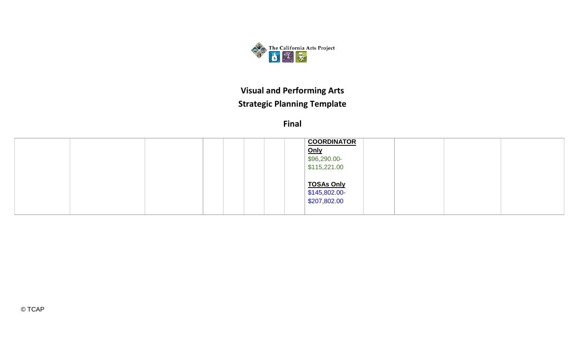

|  | <b>COORDINATOR</b>    |  |
|--|-----------------------|--|
|  | Only                  |  |
|  | $$96,290.00-$         |  |
|  | $\frac{1}{15,221.00}$ |  |
|  |                       |  |
|  | <b>TOSAs Only</b>     |  |
|  | \$145,802.00-         |  |
|  | $\frac{$207,802.00}{$ |  |
|  |                       |  |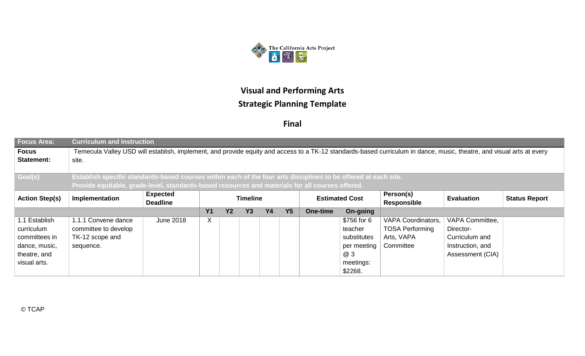

| <b>Focus Area:</b>                | <b>Curriculum and Instruction</b>                                                                                                                                                |           |   |  |  |  |  |  |             |                           |                  |  |  |  |
|-----------------------------------|----------------------------------------------------------------------------------------------------------------------------------------------------------------------------------|-----------|---|--|--|--|--|--|-------------|---------------------------|------------------|--|--|--|
| <b>Focus</b><br><b>Statement:</b> | Temecula Valley USD will establish, implement, and provide equity and access to a TK-12 standards-based curriculum in dance, music, theatre, and visual arts at every<br>site.   |           |   |  |  |  |  |  |             |                           |                  |  |  |  |
| Goal(s)                           | Establish specific standards-based courses within each of the four arts disciplines to be offered at each site.                                                                  |           |   |  |  |  |  |  |             |                           |                  |  |  |  |
|                                   | Provide equitable, grade-level, standards-based resources and materials for all courses offered.                                                                                 |           |   |  |  |  |  |  |             |                           |                  |  |  |  |
| <b>Action Step(s)</b>             | <b>Expected</b><br>Person(s)<br><b>Estimated Cost</b><br>Implementation<br><b>Evaluation</b><br><b>Status Report</b><br><b>Timeline</b><br><b>Deadline</b><br><b>Responsible</b> |           |   |  |  |  |  |  |             |                           |                  |  |  |  |
|                                   | <b>Y3</b><br><b>Y4</b><br>Y <sub>5</sub><br><b>Y1</b><br><b>Y2</b><br>On-going<br>One-time                                                                                       |           |   |  |  |  |  |  |             |                           |                  |  |  |  |
| 1.1 Establish                     | 1.1.1 Convene dance                                                                                                                                                              | June 2018 | X |  |  |  |  |  | \$756 for 6 | <b>VAPA Coordinators,</b> | VAPA Committee,  |  |  |  |
| curriculum                        | committee to develop                                                                                                                                                             |           |   |  |  |  |  |  | teacher     | <b>TOSA Performing</b>    | Director-        |  |  |  |
| committees in                     | TK-12 scope and                                                                                                                                                                  |           |   |  |  |  |  |  | substitutes | Arts, VAPA                | Curriculum and   |  |  |  |
| dance, music,                     | sequence.                                                                                                                                                                        |           |   |  |  |  |  |  | per meeting | Committee                 | Instruction, and |  |  |  |
| theatre, and                      |                                                                                                                                                                                  |           |   |  |  |  |  |  | @ 3         |                           | Assessment (CIA) |  |  |  |
| visual arts.                      |                                                                                                                                                                                  |           |   |  |  |  |  |  | meetings:   |                           |                  |  |  |  |
|                                   |                                                                                                                                                                                  |           |   |  |  |  |  |  | \$2268.     |                           |                  |  |  |  |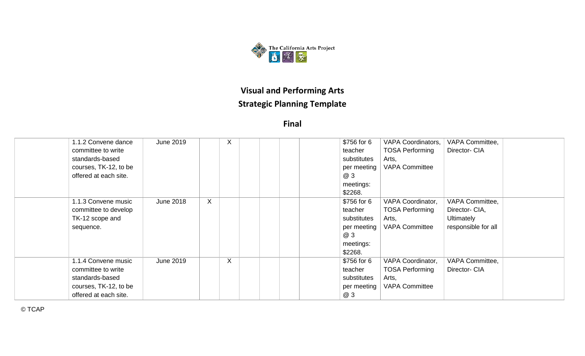

**Final**

| 1.1.2 Convene dance   | <b>June 2019</b> | X       |  | \$756 for 6 | <b>VAPA Coordinators,</b> | VAPA Committee,     |  |
|-----------------------|------------------|---------|--|-------------|---------------------------|---------------------|--|
| committee to write    |                  |         |  | teacher     | <b>TOSA Performing</b>    | Director- CIA       |  |
| standards-based       |                  |         |  | substitutes | Arts,                     |                     |  |
| courses, TK-12, to be |                  |         |  | per meeting | <b>VAPA Committee</b>     |                     |  |
| offered at each site. |                  |         |  | <b>@3</b>   |                           |                     |  |
|                       |                  |         |  | meetings:   |                           |                     |  |
|                       |                  |         |  | \$2268.     |                           |                     |  |
| 1.1.3 Convene music   | <b>June 2018</b> | X       |  | \$756 for 6 | VAPA Coordinator,         | VAPA Committee,     |  |
| committee to develop  |                  |         |  | teacher     | <b>TOSA Performing</b>    | Director- CIA,      |  |
| TK-12 scope and       |                  |         |  | substitutes | Arts,                     | <b>Ultimately</b>   |  |
| sequence.             |                  |         |  | per meeting | <b>VAPA Committee</b>     | responsible for all |  |
|                       |                  |         |  | @ 3         |                           |                     |  |
|                       |                  |         |  | meetings:   |                           |                     |  |
|                       |                  |         |  | \$2268.     |                           |                     |  |
| 1.1.4 Convene music   | <b>June 2019</b> | $\sf X$ |  | \$756 for 6 | VAPA Coordinator,         | VAPA Committee,     |  |
| committee to write    |                  |         |  | teacher     | <b>TOSA Performing</b>    | Director- CIA       |  |
| standards-based       |                  |         |  | substitutes | Arts,                     |                     |  |
| courses, TK-12, to be |                  |         |  | per meeting | <b>VAPA Committee</b>     |                     |  |
| offered at each site. |                  |         |  | @ 3         |                           |                     |  |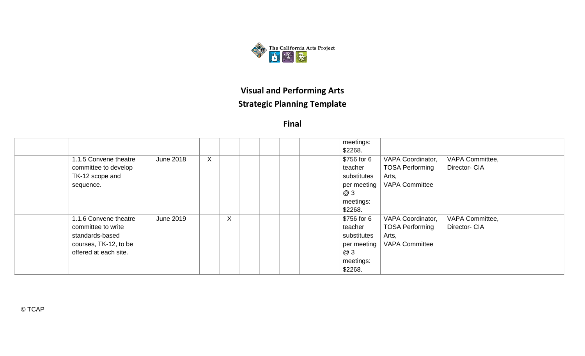

**Final**

|                                                                                                                  |                  |              |   |  | meetings:<br>\$2268.                                                                |                                                                               |                                  |
|------------------------------------------------------------------------------------------------------------------|------------------|--------------|---|--|-------------------------------------------------------------------------------------|-------------------------------------------------------------------------------|----------------------------------|
| 1.1.5 Convene theatre<br>committee to develop<br>TK-12 scope and<br>sequence.                                    | <b>June 2018</b> | $\mathsf{X}$ |   |  | \$756 for 6<br>teacher<br>substitutes<br>per meeting<br>@ 3<br>meetings:<br>\$2268. | VAPA Coordinator,<br><b>TOSA Performing</b><br>Arts,<br><b>VAPA Committee</b> | VAPA Committee,<br>Director- CIA |
| 1.1.6 Convene theatre<br>committee to write<br>standards-based<br>courses, TK-12, to be<br>offered at each site. | June 2019        |              | X |  | \$756 for 6<br>teacher<br>substitutes<br>per meeting<br>@ 3<br>meetings:<br>\$2268. | VAPA Coordinator,<br><b>TOSA Performing</b><br>Arts,<br><b>VAPA Committee</b> | VAPA Committee,<br>Director- CIA |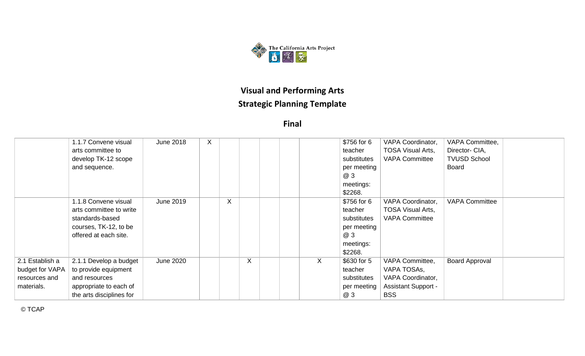

**Final**

|                 | 1.1.7 Convene visual     | <b>June 2018</b> | X |   |   |   | \$756 for 6 | <b>VAPA Coordinator,</b>   | VAPA Committee,       |  |
|-----------------|--------------------------|------------------|---|---|---|---|-------------|----------------------------|-----------------------|--|
|                 | arts committee to        |                  |   |   |   |   | teacher     | <b>TOSA Visual Arts,</b>   | Director- CIA,        |  |
|                 | develop TK-12 scope      |                  |   |   |   |   | substitutes | <b>VAPA Committee</b>      | <b>TVUSD School</b>   |  |
|                 | and sequence.            |                  |   |   |   |   | per meeting |                            | <b>Board</b>          |  |
|                 |                          |                  |   |   |   |   | <b>@3</b>   |                            |                       |  |
|                 |                          |                  |   |   |   |   | meetings:   |                            |                       |  |
|                 |                          |                  |   |   |   |   | \$2268.     |                            |                       |  |
|                 | 1.1.8 Convene visual     | June 2019        |   | X |   |   | \$756 for 6 | VAPA Coordinator,          | <b>VAPA Committee</b> |  |
|                 | arts committee to write  |                  |   |   |   |   | teacher     | <b>TOSA Visual Arts,</b>   |                       |  |
|                 | standards-based          |                  |   |   |   |   | substitutes | <b>VAPA Committee</b>      |                       |  |
|                 | courses, TK-12, to be    |                  |   |   |   |   | per meeting |                            |                       |  |
|                 | offered at each site.    |                  |   |   |   |   | @ 3         |                            |                       |  |
|                 |                          |                  |   |   |   |   | meetings:   |                            |                       |  |
|                 |                          |                  |   |   |   |   | \$2268.     |                            |                       |  |
| 2.1 Establish a | 2.1.1 Develop a budget   | <b>June 2020</b> |   |   | X | X | \$630 for 5 | VAPA Committee,            | <b>Board Approval</b> |  |
| budget for VAPA | to provide equipment     |                  |   |   |   |   | teacher     | VAPA TOSAS,                |                       |  |
| resources and   | and resources            |                  |   |   |   |   | substitutes | VAPA Coordinator,          |                       |  |
| materials.      | appropriate to each of   |                  |   |   |   |   | per meeting | <b>Assistant Support -</b> |                       |  |
|                 | the arts disciplines for |                  |   |   |   |   | @ 3         | <b>BSS</b>                 |                       |  |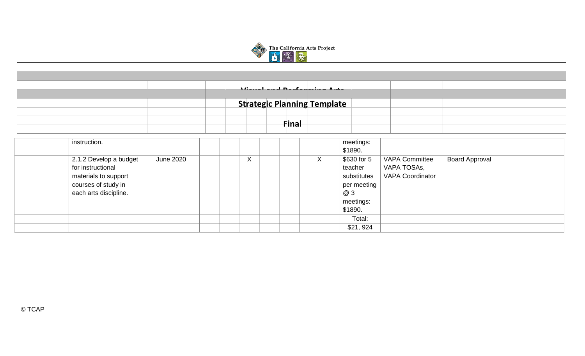

|                                                                                                                     |                  | $\cdots$ |         |              | $\bullet$ . The set of $\bullet$<br><u>___</u> |                                                                                     |                                                                 |                       |  |
|---------------------------------------------------------------------------------------------------------------------|------------------|----------|---------|--------------|------------------------------------------------|-------------------------------------------------------------------------------------|-----------------------------------------------------------------|-----------------------|--|
|                                                                                                                     |                  |          |         |              |                                                |                                                                                     |                                                                 |                       |  |
|                                                                                                                     |                  |          |         |              | <b>Strategic Planning Template</b>             |                                                                                     |                                                                 |                       |  |
|                                                                                                                     |                  |          |         |              |                                                |                                                                                     |                                                                 |                       |  |
|                                                                                                                     |                  |          |         | <u>Final</u> |                                                |                                                                                     |                                                                 |                       |  |
|                                                                                                                     |                  |          |         |              |                                                |                                                                                     |                                                                 |                       |  |
| instruction.                                                                                                        |                  |          |         |              |                                                | meetings:<br>\$1890.                                                                |                                                                 |                       |  |
| 2.1.2 Develop a budget<br>for instructional<br>materials to support<br>courses of study in<br>each arts discipline. | <b>June 2020</b> |          | $\sf X$ |              | $\mathsf{X}$                                   | \$630 for 5<br>teacher<br>substitutes<br>per meeting<br>@ 3<br>meetings:<br>\$1890. | <b>VAPA Committee</b><br>VAPA TOSAs,<br><b>VAPA Coordinator</b> | <b>Board Approval</b> |  |
|                                                                                                                     |                  |          |         |              |                                                | Total:                                                                              |                                                                 |                       |  |
|                                                                                                                     |                  |          |         |              |                                                | \$21,924                                                                            |                                                                 |                       |  |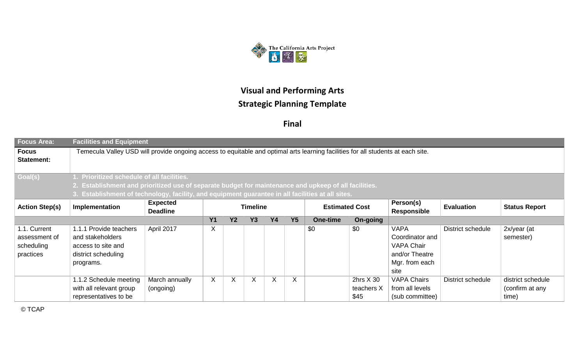

**Final**

| <b>Focus Area:</b>         | <b>Facilities and Equipment</b>                                                                                                                                                  |                                                                                                   |   |          |   |   |    |     |             |                    |                          |                   |  |  |
|----------------------------|----------------------------------------------------------------------------------------------------------------------------------------------------------------------------------|---------------------------------------------------------------------------------------------------|---|----------|---|---|----|-----|-------------|--------------------|--------------------------|-------------------|--|--|
| <b>Focus</b><br>Statement: | Temecula Valley USD will provide ongoing access to equitable and optimal arts learning facilities for all students at each site.                                                 |                                                                                                   |   |          |   |   |    |     |             |                    |                          |                   |  |  |
| Goal(s)                    | 1. Prioritized schedule of all facilities.                                                                                                                                       |                                                                                                   |   |          |   |   |    |     |             |                    |                          |                   |  |  |
|                            | 2. Establishment and prioritized use of separate budget for maintenance and upkeep of all facilities.                                                                            |                                                                                                   |   |          |   |   |    |     |             |                    |                          |                   |  |  |
|                            |                                                                                                                                                                                  | 3. Establishment of technology, facility, and equipment guarantee in all facilities at all sites. |   |          |   |   |    |     |             |                    |                          |                   |  |  |
| <b>Action Step(s)</b>      | Person(s)<br><b>Expected</b><br><b>Estimated Cost</b><br>Implementation<br><b>Timeline</b><br><b>Evaluation</b><br><b>Status Report</b><br><b>Deadline</b><br><b>Responsible</b> |                                                                                                   |   |          |   |   |    |     |             |                    |                          |                   |  |  |
|                            | Y2<br><b>Y1</b><br>Y3<br><b>Y4</b><br>Y <sub>5</sub><br>On-going<br>One-time                                                                                                     |                                                                                                   |   |          |   |   |    |     |             |                    |                          |                   |  |  |
| 1.1. Current               | 1.1.1 Provide teachers                                                                                                                                                           | April 2017                                                                                        | X |          |   |   |    | \$0 | \$0         | <b>VAPA</b>        | District schedule        | 2x/year (at       |  |  |
| assessment of              | and stakeholders                                                                                                                                                                 |                                                                                                   |   |          |   |   |    |     |             | Coordinator and    |                          | semester)         |  |  |
| scheduling                 | access to site and                                                                                                                                                               |                                                                                                   |   |          |   |   |    |     |             | <b>VAPA Chair</b>  |                          |                   |  |  |
| practices                  | district scheduling                                                                                                                                                              |                                                                                                   |   |          |   |   |    |     |             | and/or Theatre     |                          |                   |  |  |
|                            | programs.                                                                                                                                                                        |                                                                                                   |   |          |   |   |    |     |             | Mgr. from each     |                          |                   |  |  |
|                            |                                                                                                                                                                                  |                                                                                                   |   |          |   |   |    |     |             | site               |                          |                   |  |  |
|                            | 1.1.2 Schedule meeting                                                                                                                                                           | March annually                                                                                    | X | $\times$ | X | X | X. |     | 2hrs $X$ 30 | <b>VAPA Chairs</b> | <b>District schedule</b> | district schedule |  |  |
|                            | with all relevant group                                                                                                                                                          | (ongoing)                                                                                         |   |          |   |   |    |     | teachers X  | from all levels    |                          | (confirm at any   |  |  |
|                            | representatives to be                                                                                                                                                            |                                                                                                   |   |          |   |   |    |     | \$45        | (sub committee)    |                          | time)             |  |  |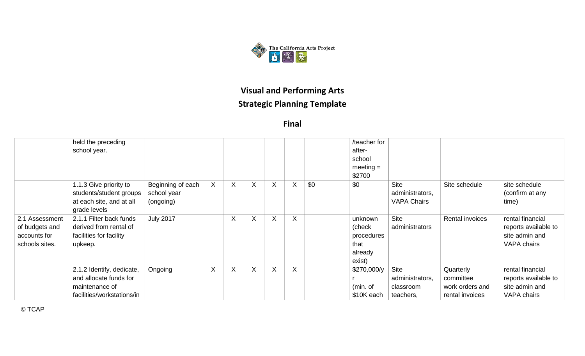

**Final**

|                                                                    | held the preceding<br>school year.                                                                  |                                               |              |              |   |         |   |     | /teacher for<br>after-<br>school<br>$meeting =$<br>\$2700    |                                                      |                                                              |                                                                           |
|--------------------------------------------------------------------|-----------------------------------------------------------------------------------------------------|-----------------------------------------------|--------------|--------------|---|---------|---|-----|--------------------------------------------------------------|------------------------------------------------------|--------------------------------------------------------------|---------------------------------------------------------------------------|
|                                                                    | 1.1.3 Give priority to<br>students/student groups<br>at each site, and at all<br>grade levels       | Beginning of each<br>school year<br>(ongoing) | $\mathsf{X}$ | X            | X | X       | X | \$0 | \$0                                                          | <b>Site</b><br>administrators,<br><b>VAPA Chairs</b> | Site schedule                                                | site schedule<br>(confirm at any<br>time)                                 |
| 2.1 Assessment<br>of budgets and<br>accounts for<br>schools sites. | 2.1.1 Filter back funds<br>derived from rental of<br>facilities for facility<br>upkeep.             | <b>July 2017</b>                              |              | X            | X | X       | X |     | unknown<br>(check<br>procedures<br>that<br>already<br>exist) | <b>Site</b><br>administrators                        | Rental invoices                                              | rental financial<br>reports available to<br>site admin and<br>VAPA chairs |
|                                                                    | 2.1.2 Identify, dedicate,<br>and allocate funds for<br>maintenance of<br>facilities/workstations/in | Ongoing                                       | X            | $\mathsf{X}$ | X | $\sf X$ | X |     | \$270,000/y<br>(min. of<br>\$10K each                        | Site<br>administrators,<br>classroom<br>teachers,    | Quarterly<br>committee<br>work orders and<br>rental invoices | rental financial<br>reports available to<br>site admin and<br>VAPA chairs |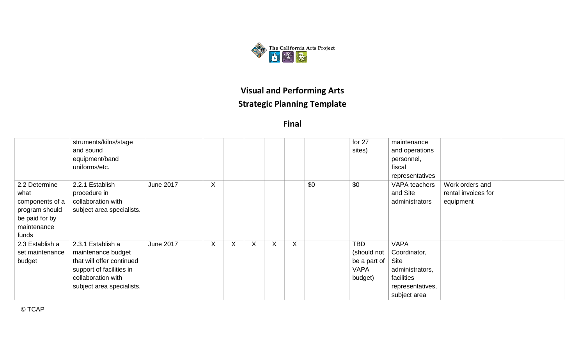

|                 | struments/kilns/stage     |                  |   |   |         |   |   |     | for 27       | maintenance      |                     |  |
|-----------------|---------------------------|------------------|---|---|---------|---|---|-----|--------------|------------------|---------------------|--|
|                 | and sound                 |                  |   |   |         |   |   |     | sites)       | and operations   |                     |  |
|                 | equipment/band            |                  |   |   |         |   |   |     |              | personnel,       |                     |  |
|                 | uniforms/etc.             |                  |   |   |         |   |   |     |              | fiscal           |                     |  |
|                 |                           |                  |   |   |         |   |   |     |              | representatives  |                     |  |
| 2.2 Determine   | 2.2.1 Establish           | <b>June 2017</b> | X |   |         |   |   | \$0 | \$0          | VAPA teachers    | Work orders and     |  |
| what            | procedure in              |                  |   |   |         |   |   |     |              | and Site         | rental invoices for |  |
| components of a | collaboration with        |                  |   |   |         |   |   |     |              | administrators   | equipment           |  |
| program should  | subject area specialists. |                  |   |   |         |   |   |     |              |                  |                     |  |
| be paid for by  |                           |                  |   |   |         |   |   |     |              |                  |                     |  |
| maintenance     |                           |                  |   |   |         |   |   |     |              |                  |                     |  |
| funds           |                           |                  |   |   |         |   |   |     |              |                  |                     |  |
| 2.3 Establish a | 2.3.1 Establish a         | <b>June 2017</b> | X | X | $\sf X$ | X | X |     | <b>TBD</b>   | <b>VAPA</b>      |                     |  |
| set maintenance | maintenance budget        |                  |   |   |         |   |   |     | (should not  | Coordinator,     |                     |  |
| budget          | that will offer continued |                  |   |   |         |   |   |     | be a part of | Site             |                     |  |
|                 | support of facilities in  |                  |   |   |         |   |   |     | <b>VAPA</b>  | administrators,  |                     |  |
|                 | collaboration with        |                  |   |   |         |   |   |     | budget)      | facilities       |                     |  |
|                 | subject area specialists. |                  |   |   |         |   |   |     |              | representatives, |                     |  |
|                 |                           |                  |   |   |         |   |   |     |              | subject area     |                     |  |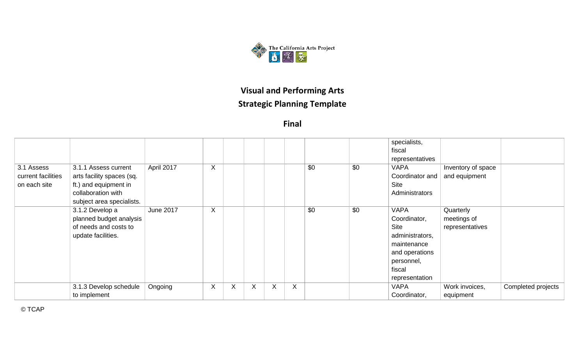

**Final**

|                                                  |                                                                                                                               |                  |   |   |   |   |   |     |     | specialists,<br>fiscal<br>representatives                                                                                         |                                             |                    |
|--------------------------------------------------|-------------------------------------------------------------------------------------------------------------------------------|------------------|---|---|---|---|---|-----|-----|-----------------------------------------------------------------------------------------------------------------------------------|---------------------------------------------|--------------------|
| 3.1 Assess<br>current facilities<br>on each site | 3.1.1 Assess current<br>arts facility spaces (sq.<br>ft.) and equipment in<br>collaboration with<br>subject area specialists. | April 2017       | X |   |   |   |   | \$0 | \$0 | <b>VAPA</b><br>Coordinator and<br>Site<br>Administrators                                                                          | Inventory of space<br>and equipment         |                    |
|                                                  | 3.1.2 Develop a<br>planned budget analysis<br>of needs and costs to<br>update facilities.                                     | <b>June 2017</b> | X |   |   |   |   | \$0 | \$0 | <b>VAPA</b><br>Coordinator,<br>Site<br>administrators,<br>maintenance<br>and operations<br>personnel,<br>fiscal<br>representation | Quarterly<br>meetings of<br>representatives |                    |
|                                                  | 3.1.3 Develop schedule<br>to implement                                                                                        | Ongoing          | X | X | X | X | X |     |     | <b>VAPA</b><br>Coordinator,                                                                                                       | Work invoices,<br>equipment                 | Completed projects |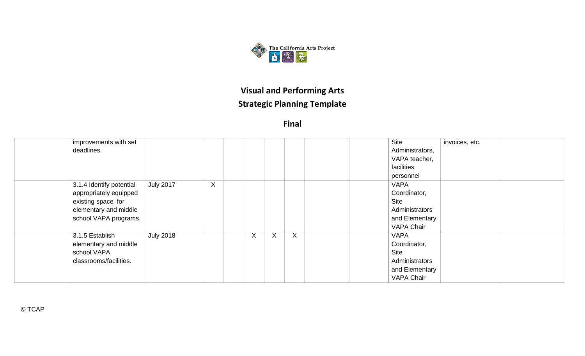

**Final**

| improvements with set    |                  |         |    |   |   |  | <b>Site</b>       | invoices, etc. |
|--------------------------|------------------|---------|----|---|---|--|-------------------|----------------|
| deadlines.               |                  |         |    |   |   |  | Administrators,   |                |
|                          |                  |         |    |   |   |  | VAPA teacher,     |                |
|                          |                  |         |    |   |   |  | facilities        |                |
|                          |                  |         |    |   |   |  | personnel         |                |
| 3.1.4 Identify potential | <b>July 2017</b> | $\sf X$ |    |   |   |  | <b>VAPA</b>       |                |
| appropriately equipped   |                  |         |    |   |   |  | Coordinator,      |                |
| existing space for       |                  |         |    |   |   |  | Site              |                |
| elementary and middle    |                  |         |    |   |   |  | Administrators    |                |
| school VAPA programs.    |                  |         |    |   |   |  | and Elementary    |                |
|                          |                  |         |    |   |   |  | <b>VAPA Chair</b> |                |
| 3.1.5 Establish          | <b>July 2018</b> |         | X. | X | X |  | <b>VAPA</b>       |                |
| elementary and middle    |                  |         |    |   |   |  | Coordinator,      |                |
| school VAPA              |                  |         |    |   |   |  | Site              |                |
| classrooms/facilities.   |                  |         |    |   |   |  | Administrators    |                |
|                          |                  |         |    |   |   |  | and Elementary    |                |
|                          |                  |         |    |   |   |  | <b>VAPA Chair</b> |                |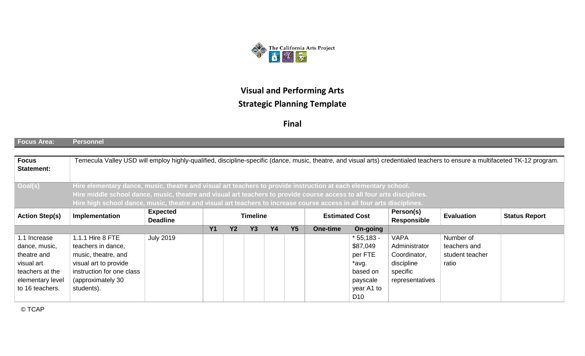

**Final**

| <b>Focus Area:</b>                | <b>Personnel</b>                                                                                                                                                             |                                                                                |  |  |  |  |  |  |                 |                    |                 |  |  |
|-----------------------------------|------------------------------------------------------------------------------------------------------------------------------------------------------------------------------|--------------------------------------------------------------------------------|--|--|--|--|--|--|-----------------|--------------------|-----------------|--|--|
|                                   |                                                                                                                                                                              |                                                                                |  |  |  |  |  |  |                 |                    |                 |  |  |
| <b>Focus</b><br><b>Statement:</b> | Temecula Valley USD will employ highly-qualified, discipline-specific (dance, music, theatre, and visual arts) credentialed teachers to ensure a multifaceted TK-12 program. |                                                                                |  |  |  |  |  |  |                 |                    |                 |  |  |
|                                   |                                                                                                                                                                              |                                                                                |  |  |  |  |  |  |                 |                    |                 |  |  |
| Goal(s)                           | Hire elementary dance, music, theatre and visual art teachers to provide instruction at each elementary school.                                                              |                                                                                |  |  |  |  |  |  |                 |                    |                 |  |  |
|                                   | Hire middle school dance, music, theatre and visual art teachers to provide course access to all four arts disciplines.                                                      |                                                                                |  |  |  |  |  |  |                 |                    |                 |  |  |
|                                   | Hire high school dance, music, theatre and visual art teachers to increase course access in all four arts disciplines.                                                       |                                                                                |  |  |  |  |  |  |                 |                    |                 |  |  |
| <b>Action Step(s)</b>             | <b>Expected</b><br>Person(s)<br><b>Timeline</b><br><b>Estimated Cost</b><br>Implementation<br><b>Evaluation</b><br><b>Status Report</b>                                      |                                                                                |  |  |  |  |  |  |                 |                    |                 |  |  |
|                                   |                                                                                                                                                                              | <b>Deadline</b>                                                                |  |  |  |  |  |  |                 | <b>Responsible</b> |                 |  |  |
|                                   |                                                                                                                                                                              | <b>Y4</b><br><b>Y5</b><br>Y1<br><b>Y2</b><br><b>Y3</b><br>On-going<br>One-time |  |  |  |  |  |  |                 |                    |                 |  |  |
| 1.1 Increase                      | 1.1.1 Hire 8 FTE                                                                                                                                                             | <b>July 2019</b>                                                               |  |  |  |  |  |  | $*55,183 -$     | <b>VAPA</b>        | Number of       |  |  |
| dance, music,                     | teachers in dance,                                                                                                                                                           |                                                                                |  |  |  |  |  |  | \$87,049        | Administrator      | teachers and    |  |  |
| theatre and                       | music, theatre, and                                                                                                                                                          |                                                                                |  |  |  |  |  |  | per FTE         | Coordinator,       | student teacher |  |  |
| visual art                        | visual art to provide                                                                                                                                                        |                                                                                |  |  |  |  |  |  | *avg.           | discipline         | ratio           |  |  |
| teachers at the                   | instruction for one class                                                                                                                                                    |                                                                                |  |  |  |  |  |  | based on        | specific           |                 |  |  |
| elementary level                  | (approximately 30                                                                                                                                                            |                                                                                |  |  |  |  |  |  | payscale        | representatives    |                 |  |  |
| to 16 teachers.                   | students).                                                                                                                                                                   |                                                                                |  |  |  |  |  |  | year A1 to      |                    |                 |  |  |
|                                   |                                                                                                                                                                              |                                                                                |  |  |  |  |  |  | D <sub>10</sub> |                    |                 |  |  |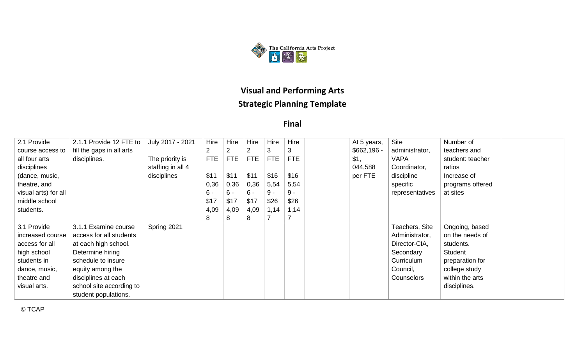

**Final**

| 2.1 Provide          | 2.1.1 Provide 12 FTE to   | July 2017 - 2021  | Hire       | Hire       | Hire       | Hire       | Hire       | At 5 years,  | Site            | Number of        |  |
|----------------------|---------------------------|-------------------|------------|------------|------------|------------|------------|--------------|-----------------|------------------|--|
| course access to     | fill the gaps in all arts |                   |            | 2          |            | 3          | 3          | $$662,196 -$ | administrator,  | teachers and     |  |
| all four arts        | disciplines.              | The priority is   | <b>FTE</b> | <b>FTE</b> | <b>FTE</b> | <b>FTE</b> | <b>FTE</b> | \$1,         | <b>VAPA</b>     | student: teacher |  |
| disciplines          |                           | staffing in all 4 |            |            |            |            |            | 044,588      | Coordinator,    | ratios           |  |
| (dance, music,       |                           | disciplines       | \$11       | \$11       | \$11       | \$16       | \$16       | per FTE      | discipline      | Increase of      |  |
| theatre, and         |                           |                   | 0,36       | 0,36       | 0,36       | 5,54       | 5,54       |              | specific        | programs offered |  |
| visual arts) for all |                           |                   | $6 -$      | $6 -$      | $6 -$      | 9 -        | $9 -$      |              | representatives | at sites         |  |
| middle school        |                           |                   | \$17       | \$17       | \$17       | \$26       | \$26       |              |                 |                  |  |
| students.            |                           |                   | 4,09       | 4,09       | 4,09       | 1,14       | 1,14       |              |                 |                  |  |
|                      |                           |                   | 8          | 8          | 8          |            |            |              |                 |                  |  |
| 3.1 Provide          | 3.1.1 Examine course      | Spring 2021       |            |            |            |            |            |              | Teachers, Site  | Ongoing, based   |  |
| increased course     | access for all students   |                   |            |            |            |            |            |              | Administrator,  | on the needs of  |  |
| access for all       | at each high school.      |                   |            |            |            |            |            |              | Director-CIA,   | students.        |  |
| high school          | Determine hiring          |                   |            |            |            |            |            |              | Secondary       | Student          |  |
| students in          | schedule to insure        |                   |            |            |            |            |            |              | Curriculum      | preparation for  |  |
| dance, music,        | equity among the          |                   |            |            |            |            |            |              | Council,        | college study    |  |
| theatre and          | disciplines at each       |                   |            |            |            |            |            |              | Counselors      | within the arts  |  |
| visual arts.         | school site according to  |                   |            |            |            |            |            |              |                 | disciplines.     |  |
|                      | student populations.      |                   |            |            |            |            |            |              |                 |                  |  |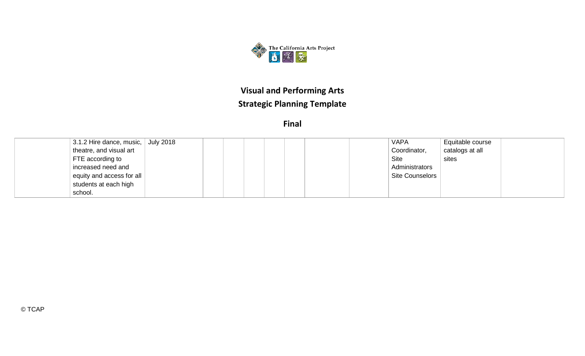

|                           | $\vert$ 3.1.2 Hire dance, music, $\vert$ July 2018 |  | <b>VAPA</b>            | Equitable course |  |
|---------------------------|----------------------------------------------------|--|------------------------|------------------|--|
| theatre, and visual art   |                                                    |  | Coordinator,           | catalogs at all  |  |
| FTE according to          |                                                    |  | <b>Site</b>            | sites            |  |
| increased need and        |                                                    |  | Administrators         |                  |  |
| equity and access for all |                                                    |  | <b>Site Counselors</b> |                  |  |
| students at each high     |                                                    |  |                        |                  |  |
| school.                   |                                                    |  |                        |                  |  |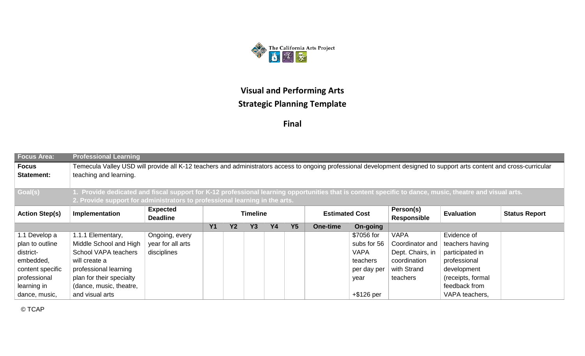

**Final**

| <b>Focus Area:</b>                | <b>Professional Learning</b>                                                                                                                                                                                                                                                                                                                                |                   |  |  |  |  |  |  |               |                  |                 |  |
|-----------------------------------|-------------------------------------------------------------------------------------------------------------------------------------------------------------------------------------------------------------------------------------------------------------------------------------------------------------------------------------------------------------|-------------------|--|--|--|--|--|--|---------------|------------------|-----------------|--|
| <b>Focus</b><br><b>Statement:</b> | Temecula Valley USD will provide all K-12 teachers and administrators access to ongoing professional development designed to support arts content and cross-curricular<br>teaching and learning.<br>1. Provide dedicated and fiscal support for K-12 professional learning opportunities that is content specific to dance, music, theatre and visual arts. |                   |  |  |  |  |  |  |               |                  |                 |  |
| Goal(s)                           |                                                                                                                                                                                                                                                                                                                                                             |                   |  |  |  |  |  |  |               |                  |                 |  |
|                                   | 2. Provide support for administrators to professional learning in the arts.                                                                                                                                                                                                                                                                                 |                   |  |  |  |  |  |  |               |                  |                 |  |
| <b>Action Step(s)</b>             | Person(s)<br><b>Expected</b><br>Implementation<br><b>Estimated Cost</b><br><b>Evaluation</b><br><b>Timeline</b><br><b>Status Report</b><br><b>Deadline</b><br><b>Responsible</b>                                                                                                                                                                            |                   |  |  |  |  |  |  |               |                  |                 |  |
|                                   | <b>Y2</b><br><b>Y3</b><br><b>Y4</b><br><b>Y5</b><br><b>Y1</b><br>On-going<br>One-time                                                                                                                                                                                                                                                                       |                   |  |  |  |  |  |  |               |                  |                 |  |
| 1.1 Develop a                     | 1.1.1 Elementary,                                                                                                                                                                                                                                                                                                                                           | Ongoing, every    |  |  |  |  |  |  | \$7056 for    | <b>VAPA</b>      | Evidence of     |  |
| plan to outline                   | Middle School and High                                                                                                                                                                                                                                                                                                                                      | year for all arts |  |  |  |  |  |  | subs for 56   | Coordinator and  | teachers having |  |
| district-                         | School VAPA teachers                                                                                                                                                                                                                                                                                                                                        | disciplines       |  |  |  |  |  |  | <b>VAPA</b>   | Dept. Chairs, in | participated in |  |
| embedded,                         | will create a                                                                                                                                                                                                                                                                                                                                               |                   |  |  |  |  |  |  | teachers      | coordination     | professional    |  |
| content specific                  | professional learning                                                                                                                                                                                                                                                                                                                                       |                   |  |  |  |  |  |  | per day per   | with Strand      | development     |  |
| professional                      | plan for their specialty<br>(receipts, formal<br>teachers<br>year                                                                                                                                                                                                                                                                                           |                   |  |  |  |  |  |  |               |                  |                 |  |
| learning in                       | (dance, music, theatre,<br>feedback from                                                                                                                                                                                                                                                                                                                    |                   |  |  |  |  |  |  |               |                  |                 |  |
| dance, music,                     | and visual arts                                                                                                                                                                                                                                                                                                                                             |                   |  |  |  |  |  |  | $+$ \$126 per |                  | VAPA teachers,  |  |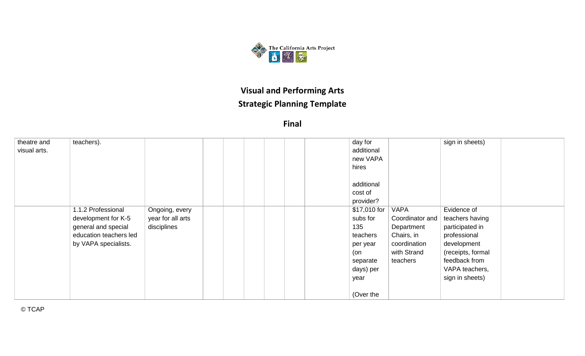

**Final**

| theatre and  | teachers).             |                   |  | day for      |                 | sign in sheets)   |  |
|--------------|------------------------|-------------------|--|--------------|-----------------|-------------------|--|
| visual arts. |                        |                   |  | additional   |                 |                   |  |
|              |                        |                   |  | new VAPA     |                 |                   |  |
|              |                        |                   |  | hires        |                 |                   |  |
|              |                        |                   |  | additional   |                 |                   |  |
|              |                        |                   |  | cost of      |                 |                   |  |
|              |                        |                   |  | provider?    |                 |                   |  |
|              | 1.1.2 Professional     | Ongoing, every    |  | \$17,010 for | <b>VAPA</b>     | Evidence of       |  |
|              | development for K-5    | year for all arts |  | subs for     | Coordinator and | teachers having   |  |
|              | general and special    | disciplines       |  | 135          | Department      | participated in   |  |
|              | education teachers led |                   |  | teachers     | Chairs, in      | professional      |  |
|              | by VAPA specialists.   |                   |  | per year     | coordination    | development       |  |
|              |                        |                   |  | (on          | with Strand     | (receipts, formal |  |
|              |                        |                   |  | separate     | teachers        | feedback from     |  |
|              |                        |                   |  | days) per    |                 | VAPA teachers,    |  |
|              |                        |                   |  | year         |                 | sign in sheets)   |  |
|              |                        |                   |  |              |                 |                   |  |
|              |                        |                   |  | (Over the    |                 |                   |  |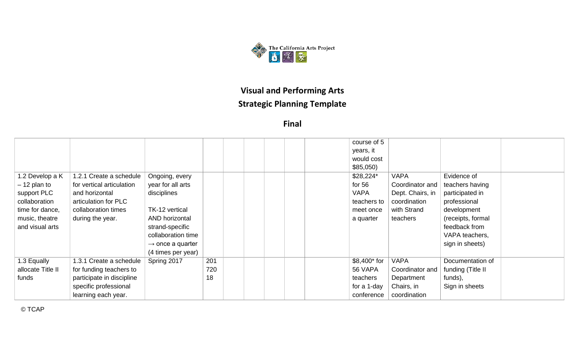

**Final**

|                   |                           |                              |     |  | course of 5  |                  |                   |  |
|-------------------|---------------------------|------------------------------|-----|--|--------------|------------------|-------------------|--|
|                   |                           |                              |     |  | years, it    |                  |                   |  |
|                   |                           |                              |     |  |              |                  |                   |  |
|                   |                           |                              |     |  | would cost   |                  |                   |  |
|                   |                           |                              |     |  | \$85,050     |                  |                   |  |
| 1.2 Develop a K   | 1.2.1 Create a schedule   | Ongoing, every               |     |  | \$28,224*    | <b>VAPA</b>      | Evidence of       |  |
| $-12$ plan to     | for vertical articulation | year for all arts            |     |  | for $56$     | Coordinator and  | teachers having   |  |
| support PLC       | and horizontal            | disciplines                  |     |  | <b>VAPA</b>  | Dept. Chairs, in | participated in   |  |
| collaboration     | articulation for PLC      |                              |     |  | teachers to  | coordination     | professional      |  |
| time for dance,   | collaboration times       | TK-12 vertical               |     |  | meet once    | with Strand      | development       |  |
| music, theatre    | during the year.          | AND horizontal               |     |  | a quarter    | teachers         | (receipts, formal |  |
| and visual arts   |                           | strand-specific              |     |  |              |                  | feedback from     |  |
|                   |                           | collaboration time           |     |  |              |                  | VAPA teachers,    |  |
|                   |                           | $\rightarrow$ once a quarter |     |  |              |                  | sign in sheets)   |  |
|                   |                           | (4 times per year)           |     |  |              |                  |                   |  |
| 1.3 Equally       | 1.3.1 Create a schedule   | Spring 2017                  | 201 |  | \$8,400* for | <b>VAPA</b>      | Documentation of  |  |
| allocate Title II | for funding teachers to   |                              | 720 |  | 56 VAPA      | Coordinator and  | funding (Title II |  |
| funds             | participate in discipline |                              | 18  |  | teachers     | Department       | funds),           |  |
|                   | specific professional     |                              |     |  | for a 1-day  | Chairs, in       | Sign in sheets    |  |
|                   | learning each year.       |                              |     |  | conference   | coordination     |                   |  |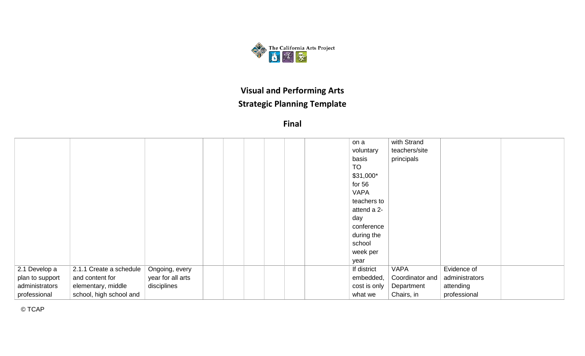

**Final**

|                 |                         |                   |  |  | on a         | with Strand     |                |  |
|-----------------|-------------------------|-------------------|--|--|--------------|-----------------|----------------|--|
|                 |                         |                   |  |  | voluntary    | teachers/site   |                |  |
|                 |                         |                   |  |  | basis        | principals      |                |  |
|                 |                         |                   |  |  | <b>TO</b>    |                 |                |  |
|                 |                         |                   |  |  | $$31,000*$   |                 |                |  |
|                 |                         |                   |  |  | for $56$     |                 |                |  |
|                 |                         |                   |  |  | <b>VAPA</b>  |                 |                |  |
|                 |                         |                   |  |  | teachers to  |                 |                |  |
|                 |                         |                   |  |  | attend a 2-  |                 |                |  |
|                 |                         |                   |  |  | day          |                 |                |  |
|                 |                         |                   |  |  | conference   |                 |                |  |
|                 |                         |                   |  |  | during the   |                 |                |  |
|                 |                         |                   |  |  | school       |                 |                |  |
|                 |                         |                   |  |  | week per     |                 |                |  |
|                 |                         |                   |  |  | year         |                 |                |  |
| 2.1 Develop a   | 2.1.1 Create a schedule | Ongoing, every    |  |  | If district  | <b>VAPA</b>     | Evidence of    |  |
| plan to support | and content for         | year for all arts |  |  | embedded,    | Coordinator and | administrators |  |
| administrators  | elementary, middle      | disciplines       |  |  | cost is only | Department      | attending      |  |
| professional    | school, high school and |                   |  |  | what we      | Chairs, in      | professional   |  |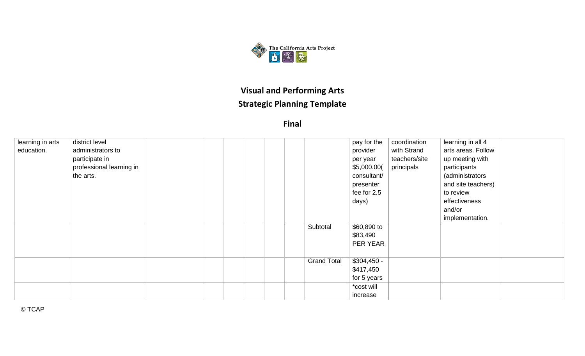

| learning in arts | district level           |  |  |                    | pay for the  | coordination  | learning in all 4  |  |
|------------------|--------------------------|--|--|--------------------|--------------|---------------|--------------------|--|
| education.       | administrators to        |  |  |                    | provider     | with Strand   | arts areas. Follow |  |
|                  | participate in           |  |  |                    | per year     | teachers/site | up meeting with    |  |
|                  | professional learning in |  |  |                    | \$5,000.00(  | principals    | participants       |  |
|                  | the arts.                |  |  |                    | consultant/  |               | (administrators    |  |
|                  |                          |  |  |                    | presenter    |               | and site teachers) |  |
|                  |                          |  |  |                    | fee for 2.5  |               | to review          |  |
|                  |                          |  |  |                    | days)        |               | effectiveness      |  |
|                  |                          |  |  |                    |              |               | and/or             |  |
|                  |                          |  |  |                    |              |               | implementation.    |  |
|                  |                          |  |  | Subtotal           | \$60,890 to  |               |                    |  |
|                  |                          |  |  |                    | \$83,490     |               |                    |  |
|                  |                          |  |  |                    | PER YEAR     |               |                    |  |
|                  |                          |  |  |                    |              |               |                    |  |
|                  |                          |  |  | <b>Grand Total</b> | $$304,450 -$ |               |                    |  |
|                  |                          |  |  |                    | \$417,450    |               |                    |  |
|                  |                          |  |  |                    | for 5 years  |               |                    |  |
|                  |                          |  |  |                    | *cost will   |               |                    |  |
|                  |                          |  |  |                    | increase     |               |                    |  |